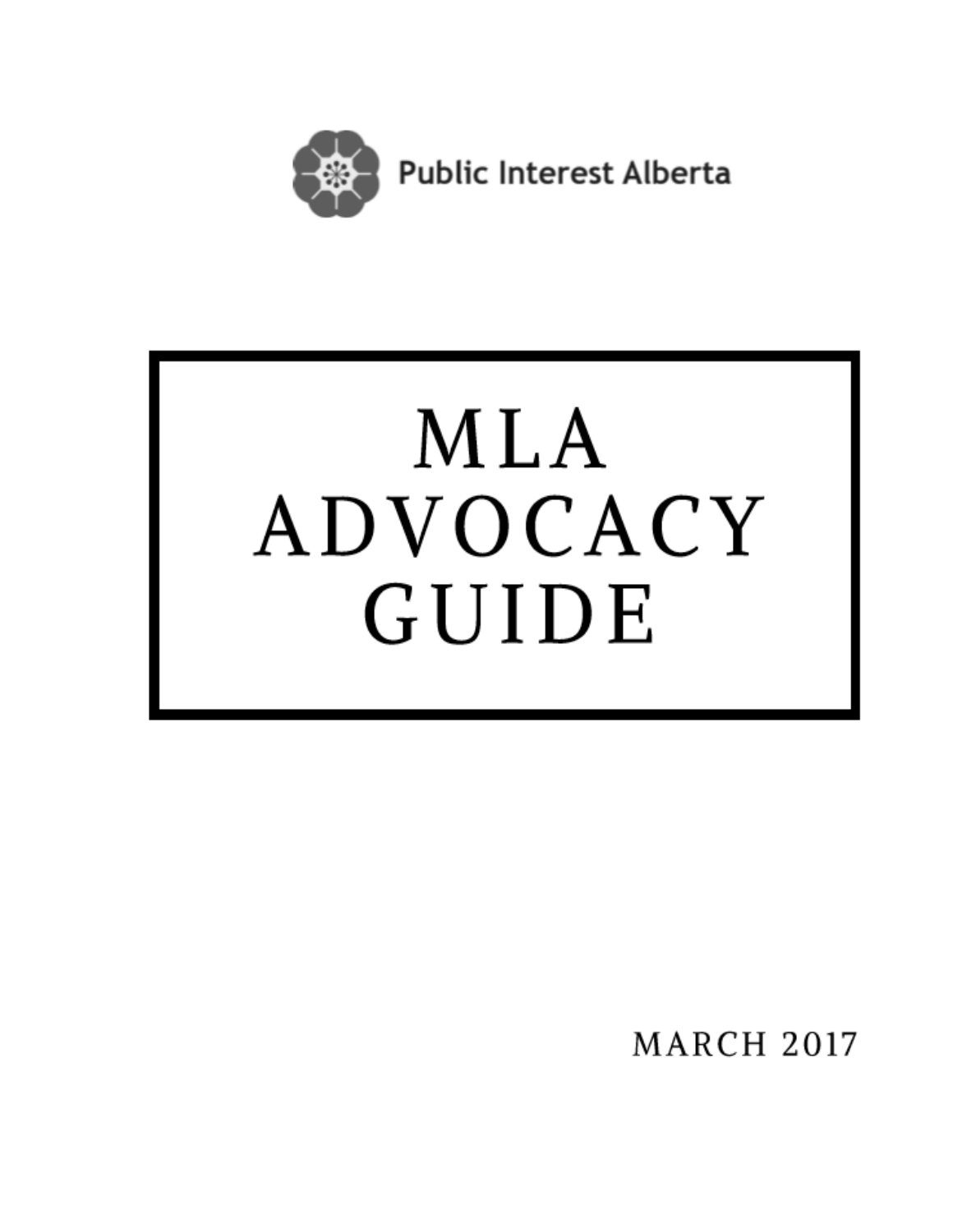

# MLA ADVOCACY GUIDE

**MARCH 2017**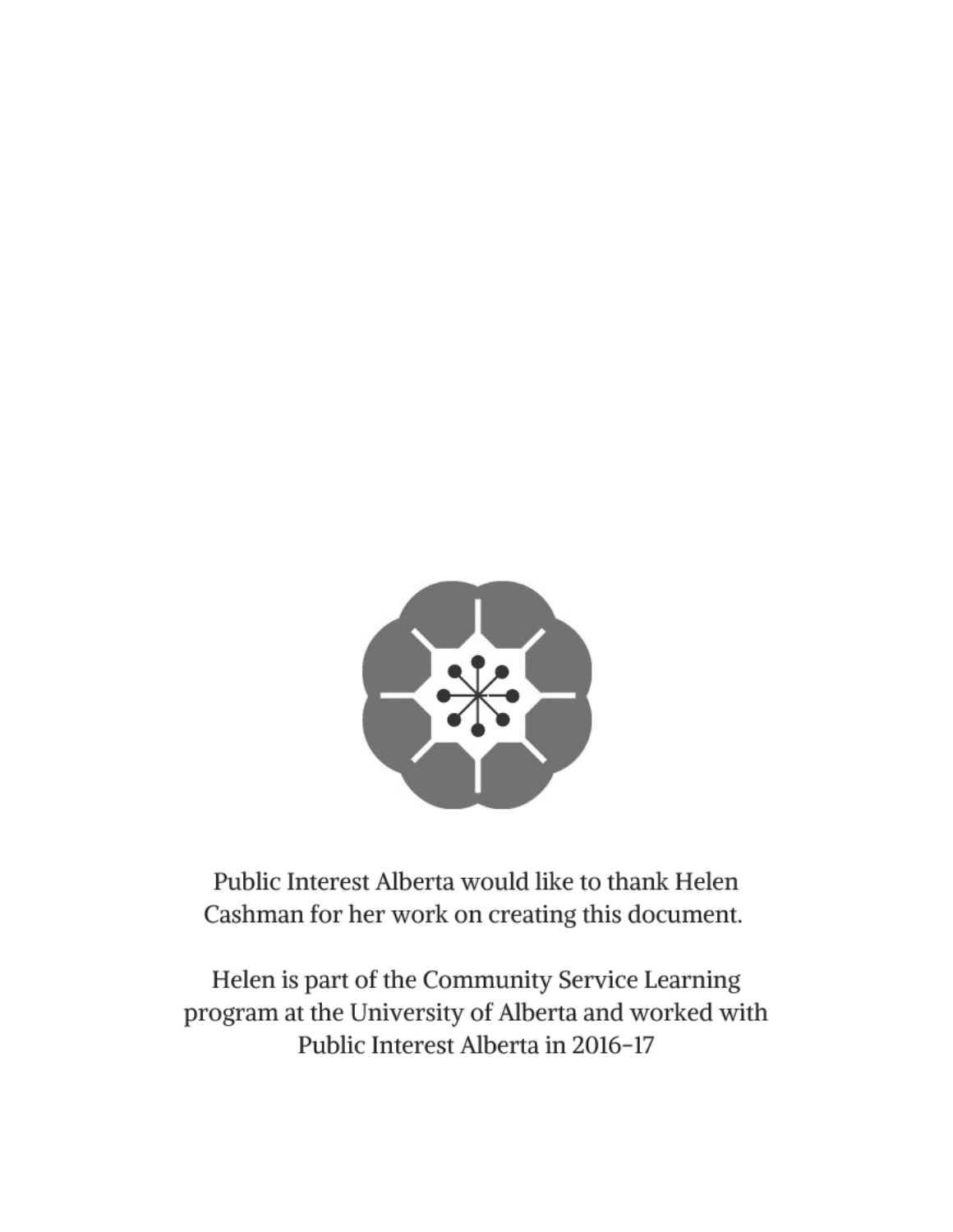

Public Interest Alberta would like to thank Helen Cashman for her work on creating this document.

Helen is part of the Community Service Learning program at the University of Alberta and worked with Public Interest Alberta in 2016-17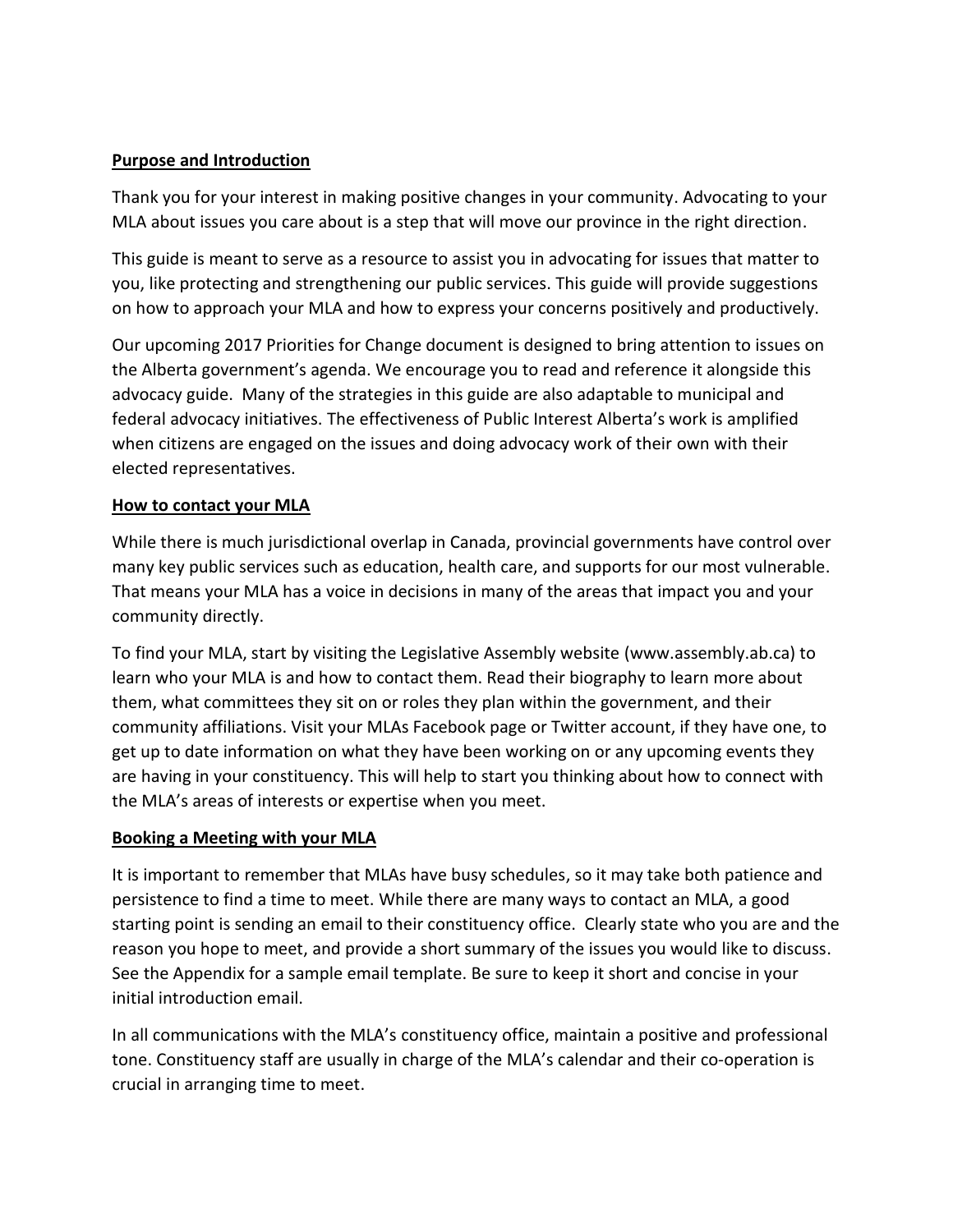#### **Purpose and Introduction**

Thank you for your interest in making positive changes in your community. Advocating to your MLA about issues you care about is a step that will move our province in the right direction.

This guide is meant to serve as a resource to assist you in advocating for issues that matter to you, like protecting and strengthening our public services. This guide will provide suggestions on how to approach your MLA and how to express your concerns positively and productively.

Our upcoming 2017 Priorities for Change document is designed to bring attention to issues on the Alberta government's agenda. We encourage you to read and reference it alongside this advocacy guide. Many of the strategies in this guide are also adaptable to municipal and federal advocacy initiatives. The effectiveness of Public Interest Alberta's work is amplified when citizens are engaged on the issues and doing advocacy work of their own with their elected representatives.

#### **How to contact your MLA**

While there is much jurisdictional overlap in Canada, provincial governments have control over many key public services such as education, health care, and supports for our most vulnerable. That means your MLA has a voice in decisions in many of the areas that impact you and your community directly.

To find your MLA, start by visiting the Legislative Assembly website (www.assembly.ab.ca) to learn who your MLA is and how to contact them. Read their biography to learn more about them, what committees they sit on or roles they plan within the government, and their community affiliations. Visit your MLAs Facebook page or Twitter account, if they have one, to get up to date information on what they have been working on or any upcoming events they are having in your constituency. This will help to start you thinking about how to connect with the MLA's areas of interests or expertise when you meet.

#### **Booking a Meeting with your MLA**

It is important to remember that MLAs have busy schedules, so it may take both patience and persistence to find a time to meet. While there are many ways to contact an MLA, a good starting point is sending an email to their constituency office. Clearly state who you are and the reason you hope to meet, and provide a short summary of the issues you would like to discuss. See the Appendix for a sample email template. Be sure to keep it short and concise in your initial introduction email.

In all communications with the MLA's constituency office, maintain a positive and professional tone. Constituency staff are usually in charge of the MLA's calendar and their co-operation is crucial in arranging time to meet.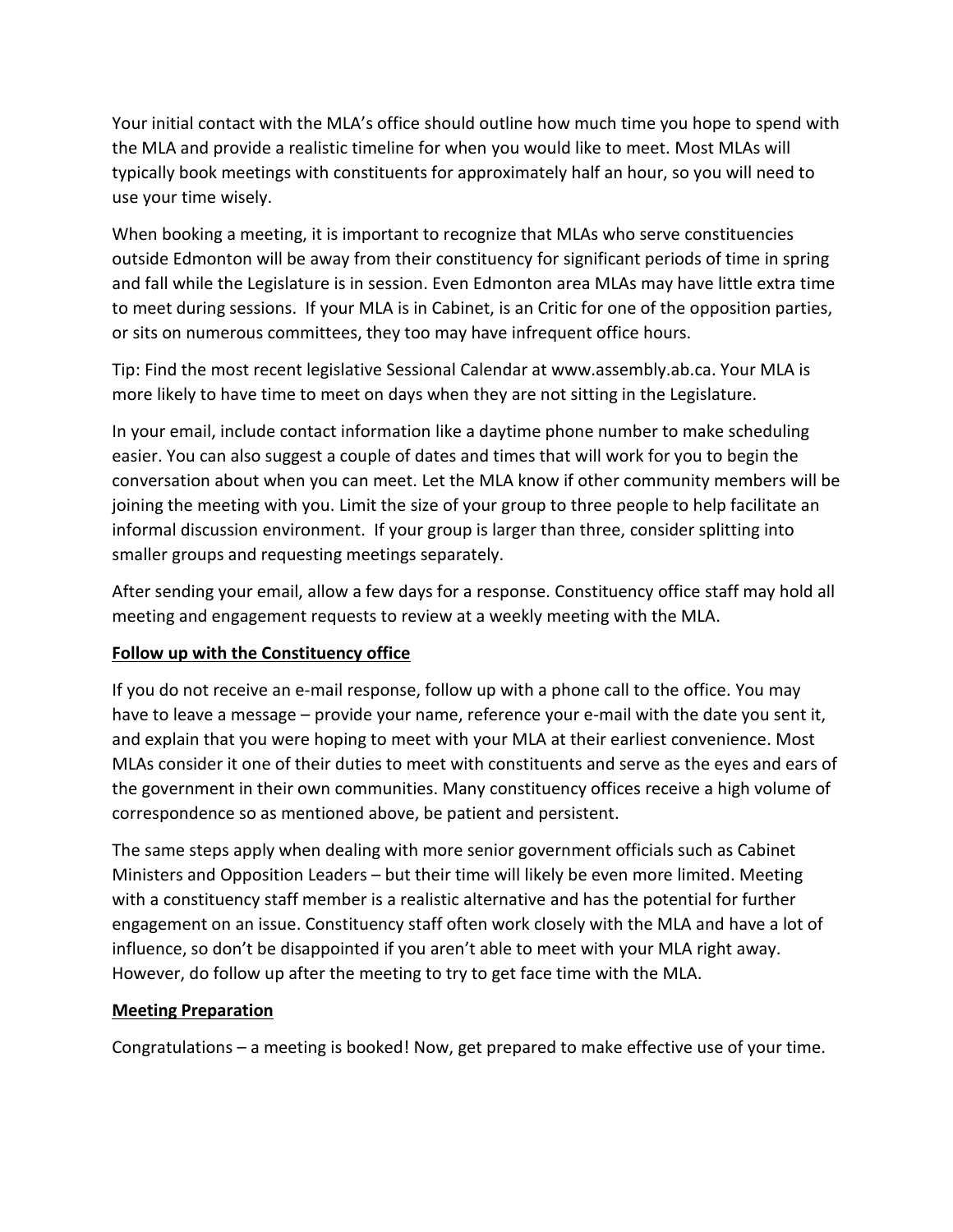Your initial contact with the MLA's office should outline how much time you hope to spend with the MLA and provide a realistic timeline for when you would like to meet. Most MLAs will typically book meetings with constituents for approximately half an hour, so you will need to use your time wisely.

When booking a meeting, it is important to recognize that MLAs who serve constituencies outside Edmonton will be away from their constituency for significant periods of time in spring and fall while the Legislature is in session. Even Edmonton area MLAs may have little extra time to meet during sessions. If your MLA is in Cabinet, is an Critic for one of the opposition parties, or sits on numerous committees, they too may have infrequent office hours.

Tip: Find the most recent legislative Sessional Calendar at www.assembly.ab.ca. Your MLA is more likely to have time to meet on days when they are not sitting in the Legislature.

In your email, include contact information like a daytime phone number to make scheduling easier. You can also suggest a couple of dates and times that will work for you to begin the conversation about when you can meet. Let the MLA know if other community members will be joining the meeting with you. Limit the size of your group to three people to help facilitate an informal discussion environment. If your group is larger than three, consider splitting into smaller groups and requesting meetings separately.

After sending your email, allow a few days for a response. Constituency office staff may hold all meeting and engagement requests to review at a weekly meeting with the MLA.

#### **Follow up with the Constituency office**

If you do not receive an e-mail response, follow up with a phone call to the office. You may have to leave a message – provide your name, reference your e-mail with the date you sent it, and explain that you were hoping to meet with your MLA at their earliest convenience. Most MLAs consider it one of their duties to meet with constituents and serve as the eyes and ears of the government in their own communities. Many constituency offices receive a high volume of correspondence so as mentioned above, be patient and persistent.

The same steps apply when dealing with more senior government officials such as Cabinet Ministers and Opposition Leaders – but their time will likely be even more limited. Meeting with a constituency staff member is a realistic alternative and has the potential for further engagement on an issue. Constituency staff often work closely with the MLA and have a lot of influence, so don't be disappointed if you aren't able to meet with your MLA right away. However, do follow up after the meeting to try to get face time with the MLA.

#### **Meeting Preparation**

Congratulations – a meeting is booked! Now, get prepared to make effective use of your time.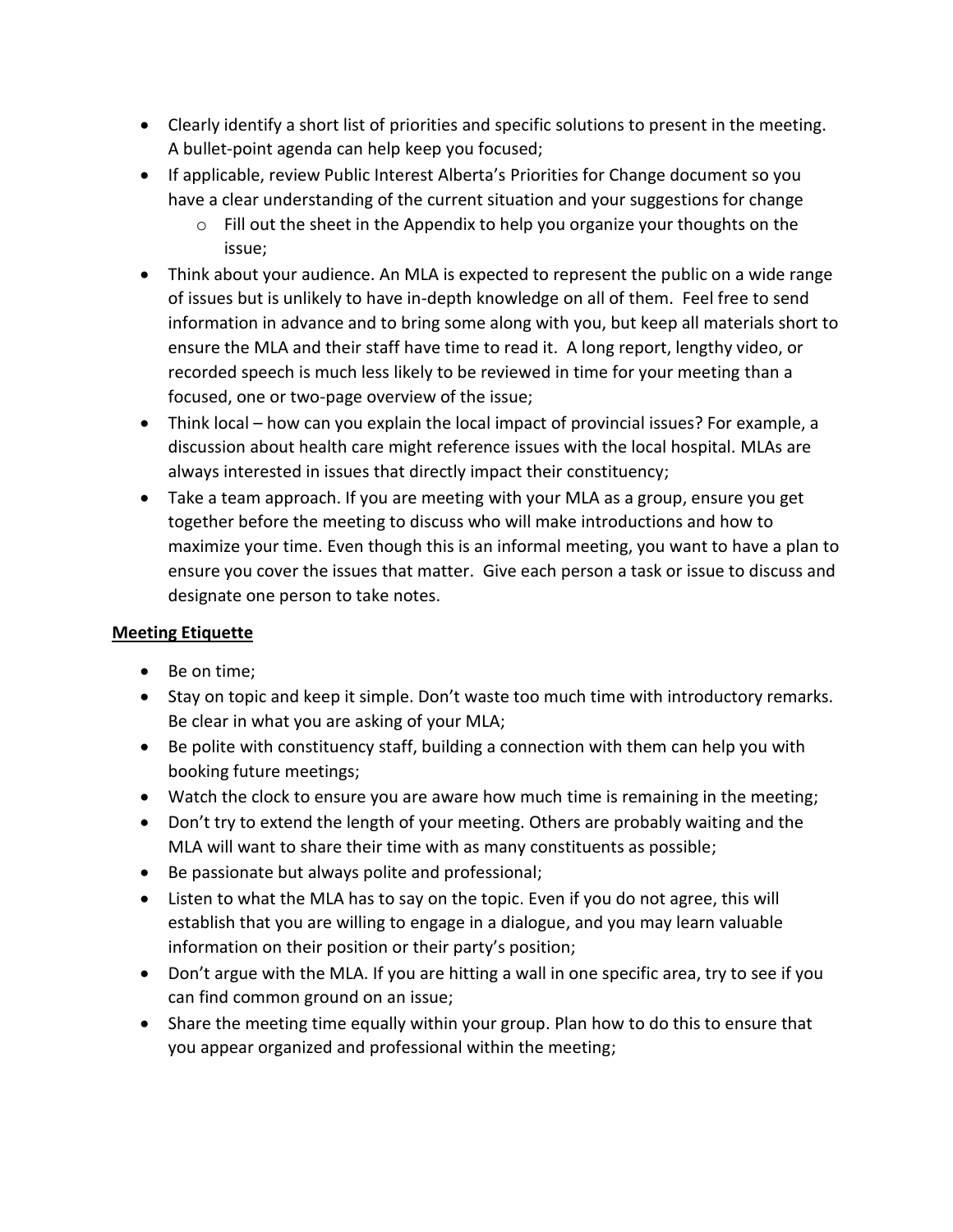- Clearly identify a short list of priorities and specific solutions to present in the meeting. A bullet-point agenda can help keep you focused;
- If applicable, review Public Interest Alberta's Priorities for Change document so you have a clear understanding of the current situation and your suggestions for change
	- o Fill out the sheet in the Appendix to help you organize your thoughts on the issue;
- Think about your audience. An MLA is expected to represent the public on a wide range of issues but is unlikely to have in-depth knowledge on all of them. Feel free to send information in advance and to bring some along with you, but keep all materials short to ensure the MLA and their staff have time to read it. A long report, lengthy video, or recorded speech is much less likely to be reviewed in time for your meeting than a focused, one or two-page overview of the issue;
- Think local how can you explain the local impact of provincial issues? For example, a discussion about health care might reference issues with the local hospital. MLAs are always interested in issues that directly impact their constituency;
- Take a team approach. If you are meeting with your MLA as a group, ensure you get together before the meeting to discuss who will make introductions and how to maximize your time. Even though this is an informal meeting, you want to have a plan to ensure you cover the issues that matter. Give each person a task or issue to discuss and designate one person to take notes.

## **Meeting Etiquette**

- Be on time;
- Stay on topic and keep it simple. Don't waste too much time with introductory remarks. Be clear in what you are asking of your MLA;
- Be polite with constituency staff, building a connection with them can help you with booking future meetings;
- Watch the clock to ensure you are aware how much time is remaining in the meeting;
- Don't try to extend the length of your meeting. Others are probably waiting and the MLA will want to share their time with as many constituents as possible;
- Be passionate but always polite and professional;
- Listen to what the MLA has to say on the topic. Even if you do not agree, this will establish that you are willing to engage in a dialogue, and you may learn valuable information on their position or their party's position;
- Don't argue with the MLA. If you are hitting a wall in one specific area, try to see if you can find common ground on an issue;
- Share the meeting time equally within your group. Plan how to do this to ensure that you appear organized and professional within the meeting;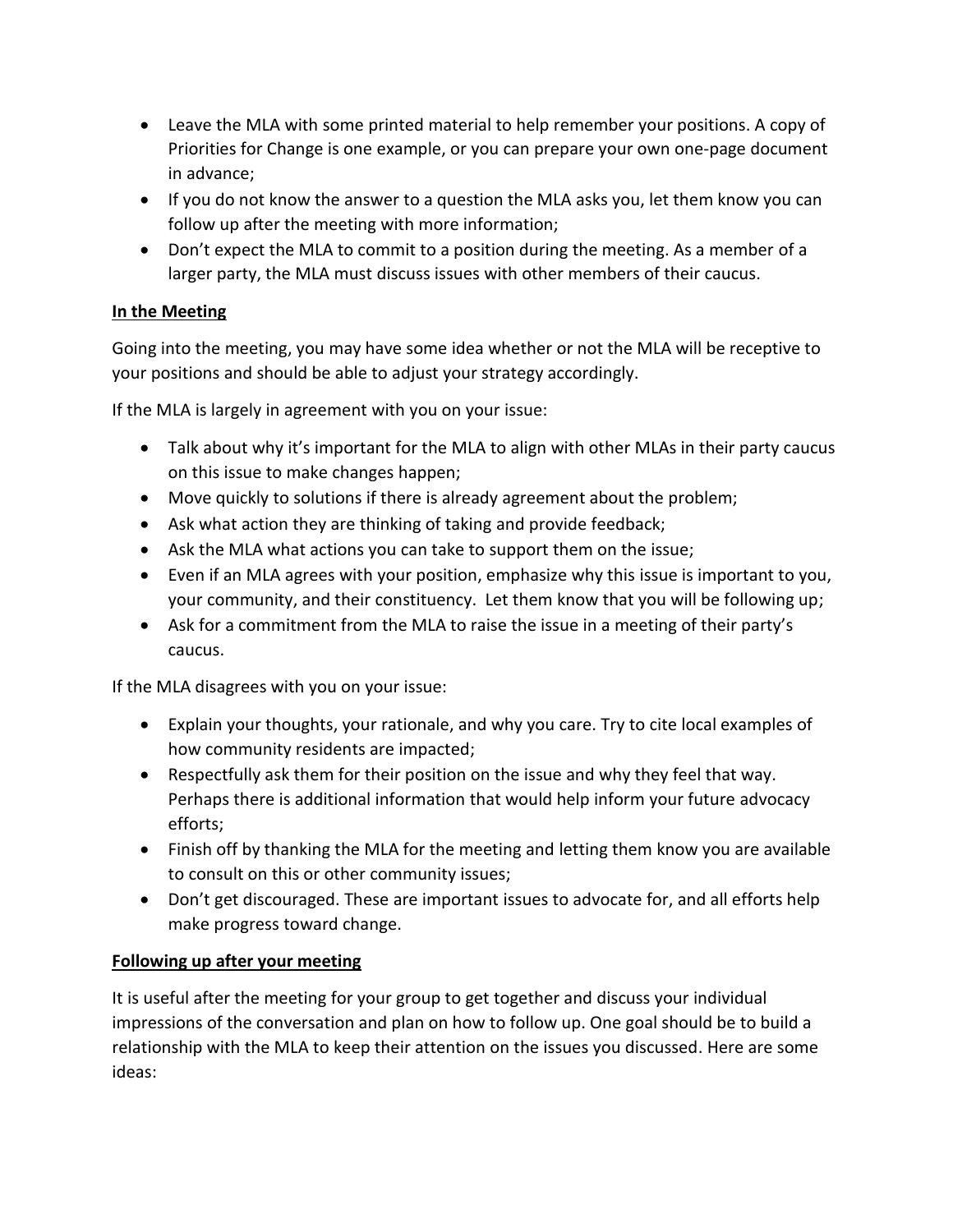- Leave the MLA with some printed material to help remember your positions. A copy of Priorities for Change is one example, or you can prepare your own one-page document in advance;
- If you do not know the answer to a question the MLA asks you, let them know you can follow up after the meeting with more information;
- Don't expect the MLA to commit to a position during the meeting. As a member of a larger party, the MLA must discuss issues with other members of their caucus.

## **In the Meeting**

Going into the meeting, you may have some idea whether or not the MLA will be receptive to your positions and should be able to adjust your strategy accordingly.

If the MLA is largely in agreement with you on your issue:

- Talk about why it's important for the MLA to align with other MLAs in their party caucus on this issue to make changes happen;
- Move quickly to solutions if there is already agreement about the problem;
- Ask what action they are thinking of taking and provide feedback;
- Ask the MLA what actions you can take to support them on the issue;
- Even if an MLA agrees with your position, emphasize why this issue is important to you, your community, and their constituency. Let them know that you will be following up;
- Ask for a commitment from the MLA to raise the issue in a meeting of their party's caucus.

If the MLA disagrees with you on your issue:

- Explain your thoughts, your rationale, and why you care. Try to cite local examples of how community residents are impacted;
- Respectfully ask them for their position on the issue and why they feel that way. Perhaps there is additional information that would help inform your future advocacy efforts;
- Finish off by thanking the MLA for the meeting and letting them know you are available to consult on this or other community issues;
- Don't get discouraged. These are important issues to advocate for, and all efforts help make progress toward change.

#### **Following up after your meeting**

It is useful after the meeting for your group to get together and discuss your individual impressions of the conversation and plan on how to follow up. One goal should be to build a relationship with the MLA to keep their attention on the issues you discussed. Here are some ideas: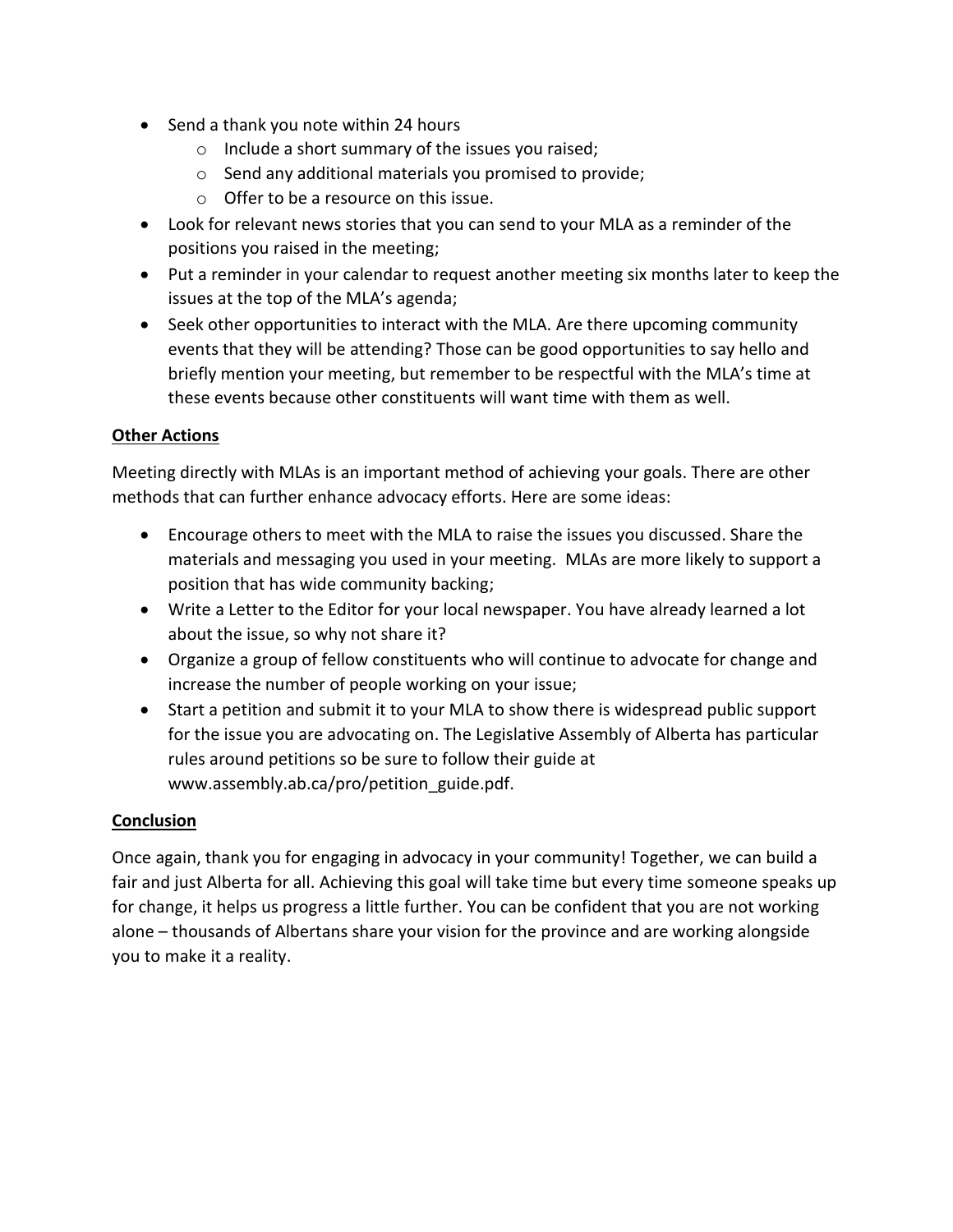- Send a thank you note within 24 hours
	- o Include a short summary of the issues you raised;
	- o Send any additional materials you promised to provide;
	- o Offer to be a resource on this issue.
- Look for relevant news stories that you can send to your MLA as a reminder of the positions you raised in the meeting;
- Put a reminder in your calendar to request another meeting six months later to keep the issues at the top of the MLA's agenda;
- Seek other opportunities to interact with the MLA. Are there upcoming community events that they will be attending? Those can be good opportunities to say hello and briefly mention your meeting, but remember to be respectful with the MLA's time at these events because other constituents will want time with them as well.

#### **Other Actions**

Meeting directly with MLAs is an important method of achieving your goals. There are other methods that can further enhance advocacy efforts. Here are some ideas:

- Encourage others to meet with the MLA to raise the issues you discussed. Share the materials and messaging you used in your meeting. MLAs are more likely to support a position that has wide community backing;
- Write a Letter to the Editor for your local newspaper. You have already learned a lot about the issue, so why not share it?
- Organize a group of fellow constituents who will continue to advocate for change and increase the number of people working on your issue;
- Start a petition and submit it to your MLA to show there is widespread public support for the issue you are advocating on. The Legislative Assembly of Alberta has particular rules around petitions so be sure to follow their guide at www.assembly.ab.ca/pro/petition\_guide.pdf.

#### **Conclusion**

Once again, thank you for engaging in advocacy in your community! Together, we can build a fair and just Alberta for all. Achieving this goal will take time but every time someone speaks up for change, it helps us progress a little further. You can be confident that you are not working alone – thousands of Albertans share your vision for the province and are working alongside you to make it a reality.